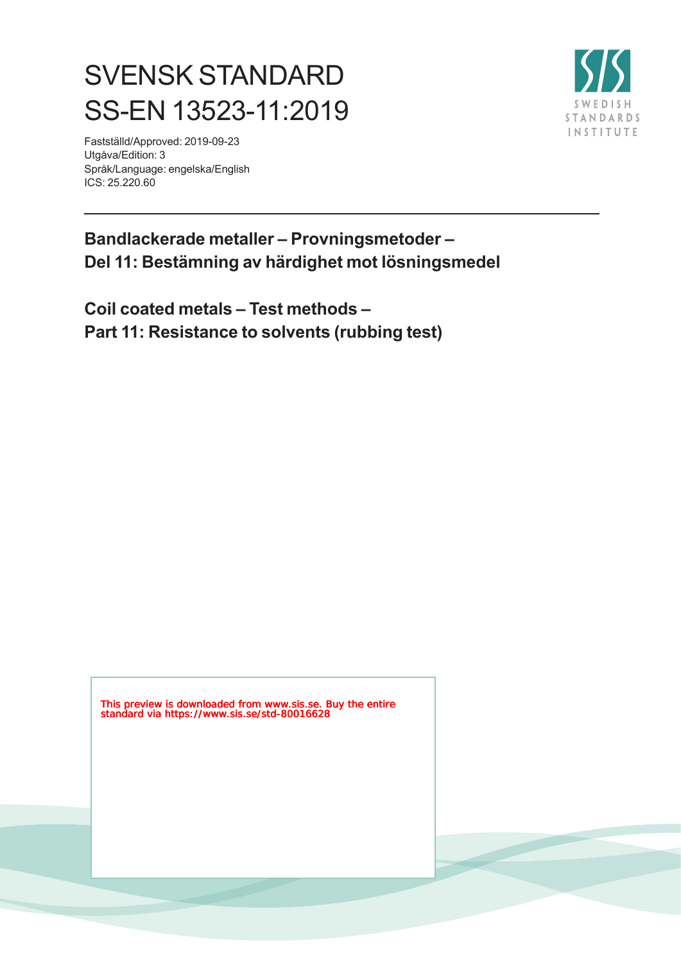# SVENSK STANDARD SS-EN 13523-11:2019



Fastställd/Approved: 2019-09-23 Utgåva/Edition: 3 Språk/Language: engelska/English ICS: 25.220.60

### **Bandlackerade metaller – Provningsmetoder – Del 11: Bestämning av härdighet mot lösningsmedel**

**Coil coated metals – Test methods – Part 11: Resistance to solvents (rubbing test)**

This preview is downloaded from www.sis.se. Buy the entire standard via https://www.sis.se/std-80016628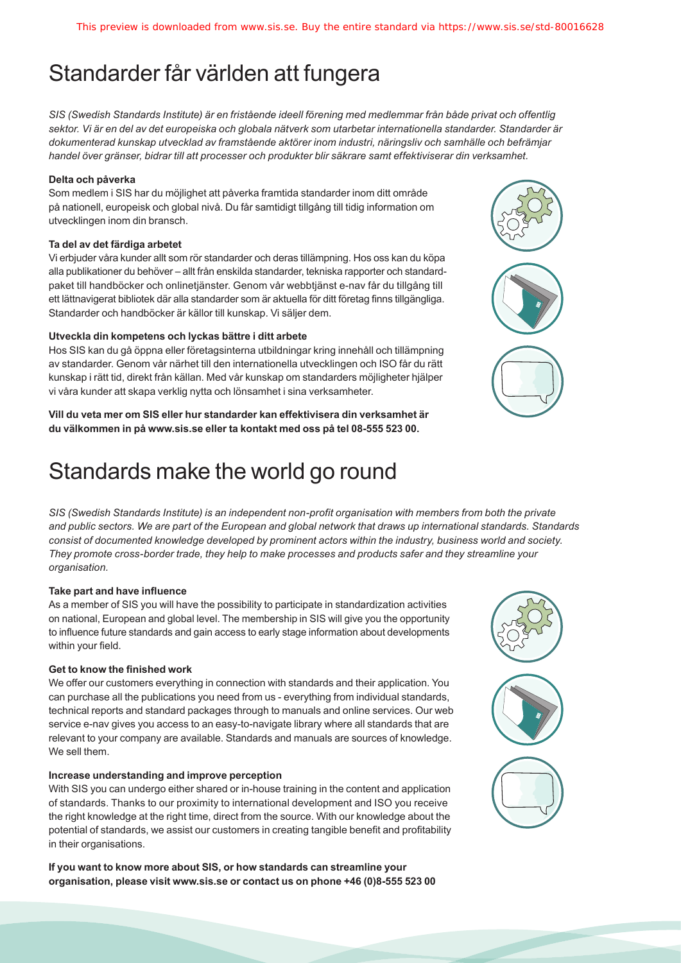## Standarder får världen att fungera

*SIS (Swedish Standards Institute) är en fristående ideell förening med medlemmar från både privat och offentlig sektor. Vi är en del av det europeiska och globala nätverk som utarbetar internationella standarder. Standarder är dokumenterad kunskap utvecklad av framstående aktörer inom industri, näringsliv och samhälle och befrämjar handel över gränser, bidrar till att processer och produkter blir säkrare samt effektiviserar din verksamhet.* 

#### **Delta och påverka**

Som medlem i SIS har du möjlighet att påverka framtida standarder inom ditt område på nationell, europeisk och global nivå. Du får samtidigt tillgång till tidig information om utvecklingen inom din bransch.

#### **Ta del av det färdiga arbetet**

Vi erbjuder våra kunder allt som rör standarder och deras tillämpning. Hos oss kan du köpa alla publikationer du behöver – allt från enskilda standarder, tekniska rapporter och standardpaket till handböcker och onlinetjänster. Genom vår webbtjänst e-nav får du tillgång till ett lättnavigerat bibliotek där alla standarder som är aktuella för ditt företag finns tillgängliga. Standarder och handböcker är källor till kunskap. Vi säljer dem.

#### **Utveckla din kompetens och lyckas bättre i ditt arbete**

Hos SIS kan du gå öppna eller företagsinterna utbildningar kring innehåll och tillämpning av standarder. Genom vår närhet till den internationella utvecklingen och ISO får du rätt kunskap i rätt tid, direkt från källan. Med vår kunskap om standarders möjligheter hjälper vi våra kunder att skapa verklig nytta och lönsamhet i sina verksamheter.

**Vill du veta mer om SIS eller hur standarder kan effektivisera din verksamhet är du välkommen in på www.sis.se eller ta kontakt med oss på tel 08-555 523 00.**

## Standards make the world go round

*SIS (Swedish Standards Institute) is an independent non-profit organisation with members from both the private and public sectors. We are part of the European and global network that draws up international standards. Standards consist of documented knowledge developed by prominent actors within the industry, business world and society. They promote cross-border trade, they help to make processes and products safer and they streamline your organisation.*

#### **Take part and have influence**

As a member of SIS you will have the possibility to participate in standardization activities on national, European and global level. The membership in SIS will give you the opportunity to influence future standards and gain access to early stage information about developments within your field.

#### **Get to know the finished work**

We offer our customers everything in connection with standards and their application. You can purchase all the publications you need from us - everything from individual standards, technical reports and standard packages through to manuals and online services. Our web service e-nav gives you access to an easy-to-navigate library where all standards that are relevant to your company are available. Standards and manuals are sources of knowledge. We sell them.

#### **Increase understanding and improve perception**

With SIS you can undergo either shared or in-house training in the content and application of standards. Thanks to our proximity to international development and ISO you receive the right knowledge at the right time, direct from the source. With our knowledge about the potential of standards, we assist our customers in creating tangible benefit and profitability in their organisations.

**If you want to know more about SIS, or how standards can streamline your organisation, please visit www.sis.se or contact us on phone +46 (0)8-555 523 00**



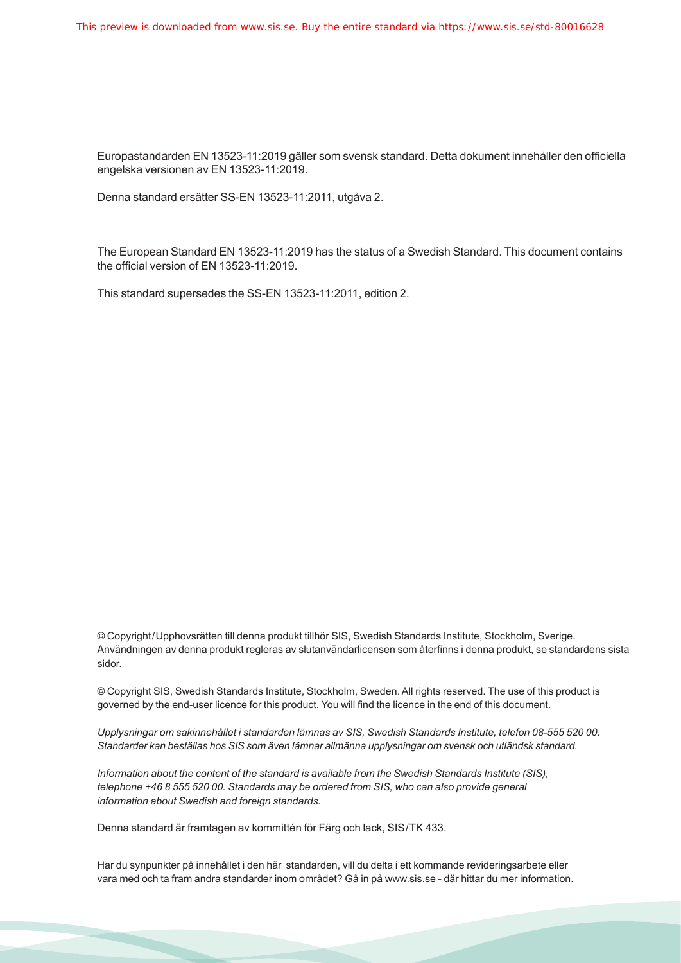Europastandarden EN 13523-11:2019 gäller som svensk standard. Detta dokument innehåller den officiella engelska versionen av EN 13523-11:2019.

Denna standard ersätter SS-EN 13523-11:2011, utgåva 2.

The European Standard EN 13523-11:2019 has the status of a Swedish Standard. This document contains the official version of EN 13523-11:2019.

This standard supersedes the SS-EN 13523-11:2011, edition 2.

© Copyright / Upphovsrätten till denna produkt tillhör SIS, Swedish Standards Institute, Stockholm, Sverige. Användningen av denna produkt regleras av slutanvändarlicensen som återfinns i denna produkt, se standardens sista sidor.

© Copyright SIS, Swedish Standards Institute, Stockholm, Sweden. All rights reserved. The use of this product is governed by the end-user licence for this product. You will find the licence in the end of this document.

*Upplysningar om sakinnehållet i standarden lämnas av SIS, Swedish Standards Institute, telefon 08-555 520 00. Standarder kan beställas hos SIS som även lämnar allmänna upplysningar om svensk och utländsk standard.*

*Information about the content of the standard is available from the Swedish Standards Institute (SIS), telephone +46 8 555 520 00. Standards may be ordered from SIS, who can also provide general information about Swedish and foreign standards.*

Denna standard är framtagen av kommittén för Färg och lack, SIS / TK 433.

Har du synpunkter på innehållet i den här standarden, vill du delta i ett kommande revideringsarbete eller vara med och ta fram andra standarder inom området? Gå in på www.sis.se - där hittar du mer information.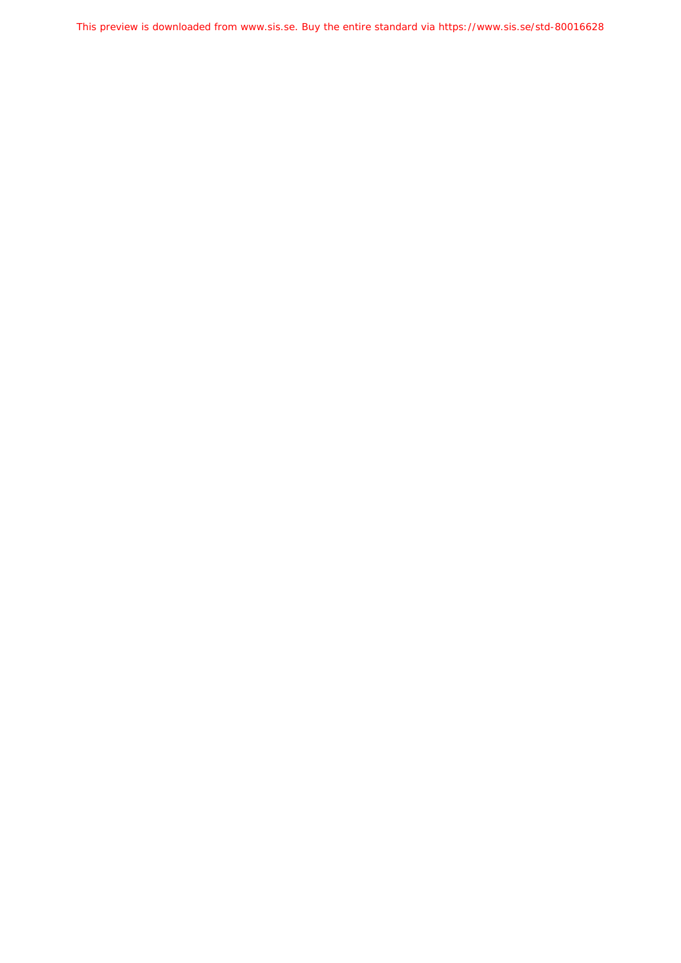This preview is downloaded from www.sis.se. Buy the entire standard via https://www.sis.se/std-80016628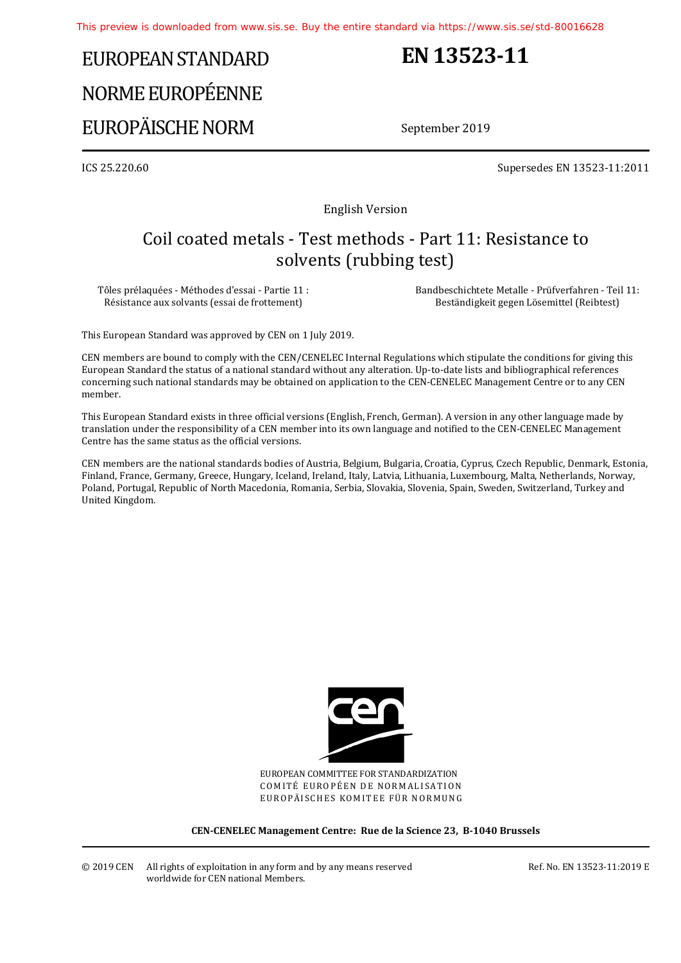## EUROPEAN STANDARD NORME EUROPÉENNE EUROPÄISCHE NORM

## **EN 13523-11**

September 2019

ICS 25.220.60 Supersedes EN 13523-11:2011

English Version

### Coil coated metals - Test methods - Part 11: Resistance to solvents (rubbing test)

Tôles prélaquées - Méthodes d'essai - Partie 11 : Résistance aux solvants (essai de frottement)

 Bandbeschichtete Metalle - Prüfverfahren - Teil 11: Beständigkeit gegen Lösemittel (Reibtest)

This European Standard was approved by CEN on 1 July 2019.

CEN members are bound to comply with the CEN/CENELEC Internal Regulations which stipulate the conditions for giving this European Standard the status of a national standard without any alteration. Up-to-date lists and bibliographical references concerning such national standards may be obtained on application to the CEN-CENELEC Management Centre or to any CEN member.

This European Standard exists in three official versions (English, French, German). A version in any other language made by translation under the responsibility of a CEN member into its own language and notified to the CEN-CENELEC Management Centre has the same status as the official versions.

CEN members are the national standards bodies of Austria, Belgium, Bulgaria, Croatia, Cyprus, Czech Republic, Denmark, Estonia, Finland, France, Germany, Greece, Hungary, Iceland, Ireland, Italy, Latvia, Lithuania, Luxembourg, Malta, Netherlands, Norway, Poland, Portugal, Republic of North Macedonia, Romania, Serbia, Slovakia, Slovenia, Spain, Sweden, Switzerland, Turkey and United Kingdom.



EUROPEAN COMMITTEE FOR STANDARDIZATION COMITÉ EUROPÉEN DE NORMALISATION EUROPÄISCHES KOMITEE FÜR NORMUNG

**CEN-CENELEC Management Centre: Rue de la Science 23, B-1040 Brussels**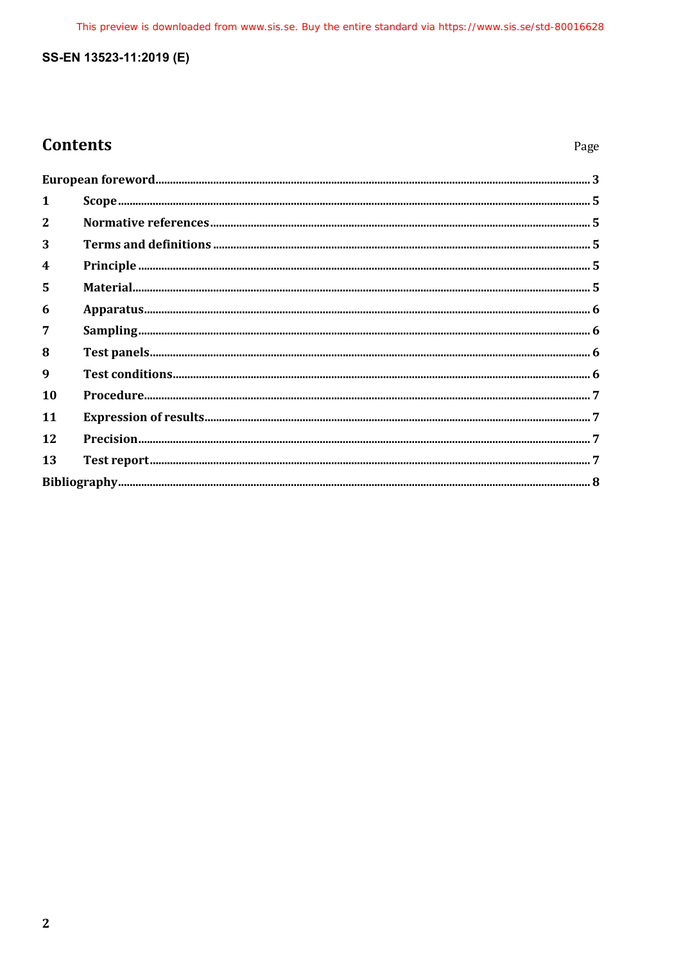This preview is downloaded from www.sis.se. Buy the entire standard via https://www.sis.se/std-80016628

### SS-EN 13523-11:2019 (E)

### **Contents**

| $\mathbf{1}$            |  |  |
|-------------------------|--|--|
| $\overline{2}$          |  |  |
| 3                       |  |  |
| $\overline{\mathbf{4}}$ |  |  |
| 5                       |  |  |
| 6                       |  |  |
| $\overline{7}$          |  |  |
| 8                       |  |  |
| 9                       |  |  |
| 10                      |  |  |
| 11                      |  |  |
| 12                      |  |  |
| 13                      |  |  |
|                         |  |  |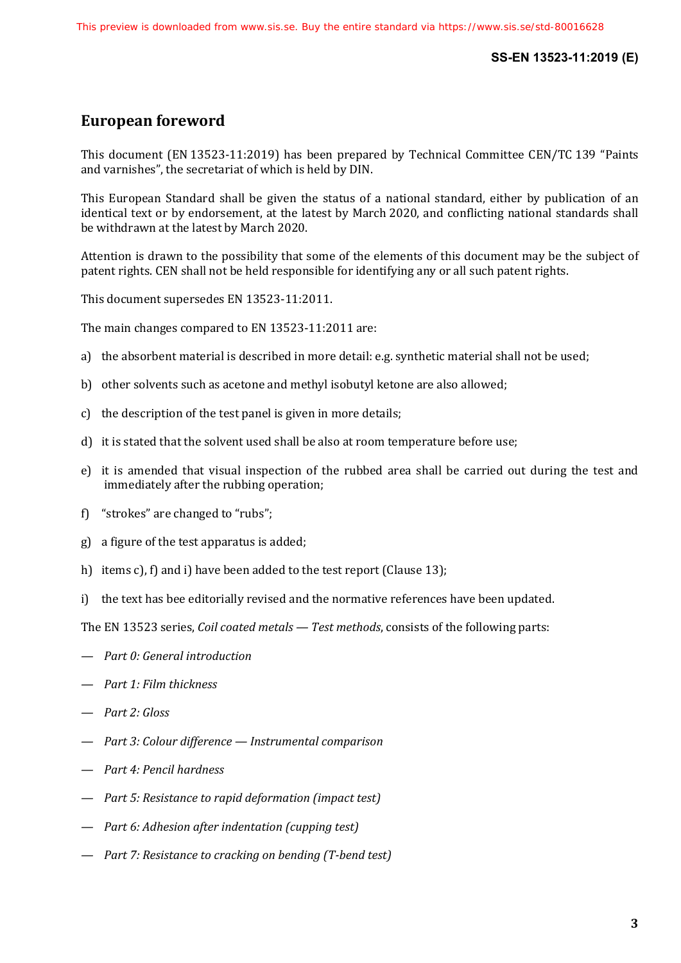#### **SS-EN 13523-11:2019 (E)**

### <span id="page-6-0"></span>**European foreword**

This document (EN 13523-11:2019) has been prepared by Technical Committee CEN/TC 139 "Paints and varnishes", the secretariat of which is held by DIN.

This European Standard shall be given the status of a national standard, either by publication of an identical text or by endorsement, at the latest by March 2020, and conflicting national standards shall be withdrawn at the latest by March 2020.

Attention is drawn to the possibility that some of the elements of this document may be the subject of patent rights. CEN shall not be held responsible for identifying any or all such patent rights.

This document supersedes EN 13523-11:2011.

The main changes compared to EN 13523-11:2011 are:

- a) the absorbent material is described in more detail: e.g. synthetic material shall not be used;
- b) other solvents such as acetone and methyl isobutyl ketone are also allowed;
- c) the description of the test panel is given in more details;
- d) it is stated that the solvent used shall be also at room temperature before use;
- e) it is amended that visual inspection of the rubbed area shall be carried out during the test and immediately after the rubbing operation;
- f) "strokes" are changed to "rubs";
- g) a figure of the test apparatus is added;
- h) items c), f) and i) have been added to the test report (Clause 13);
- i) the text has bee editorially revised and the normative references have been updated.
- The EN 13523 series, *Coil coated metals Test methods*, consists of the following parts:
- *Part 0: General introduction*
- *Part 1: Film thickness*
- *Part 2: Gloss*
- *Part 3: Colour difference Instrumental comparison*
- *Part 4: Pencil hardness*
- *Part 5: Resistance to rapid deformation (impact test)*
- *Part 6: Adhesion after indentation (cupping test)*
- *Part 7: Resistance to cracking on bending (T-bend test)*